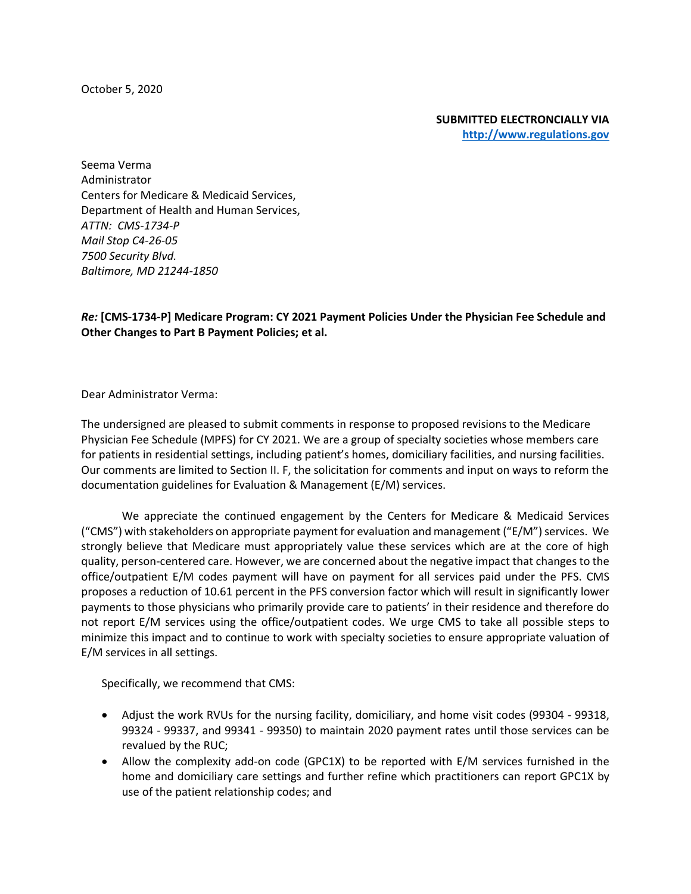October 5, 2020

**SUBMITTED ELECTRONCIALLY VIA [http://www.regulations.gov](http://www.regulations.gov/)**

Seema Verma Administrator Centers for Medicare & Medicaid Services, Department of Health and Human Services, *ATTN: CMS-1734-P Mail Stop C4-26-05 7500 Security Blvd. Baltimore, MD 21244-1850*

*Re:* **[CMS-1734-P] Medicare Program: CY 2021 Payment Policies Under the Physician Fee Schedule and Other Changes to Part B Payment Policies; et al.**

Dear Administrator Verma:

The undersigned are pleased to submit comments in response to proposed revisions to the Medicare Physician Fee Schedule (MPFS) for CY 2021. We are a group of specialty societies whose members care for patients in residential settings, including patient's homes, domiciliary facilities, and nursing facilities. Our comments are limited to Section II. F, the solicitation for comments and input on ways to reform the documentation guidelines for Evaluation & Management (E/M) services.

We appreciate the continued engagement by the Centers for Medicare & Medicaid Services ("CMS") with stakeholders on appropriate payment for evaluation and management ("E/M") services. We strongly believe that Medicare must appropriately value these services which are at the core of high quality, person-centered care. However, we are concerned about the negative impact that changes to the office/outpatient E/M codes payment will have on payment for all services paid under the PFS. CMS proposes a reduction of 10.61 percent in the PFS conversion factor which will result in significantly lower payments to those physicians who primarily provide care to patients' in their residence and therefore do not report E/M services using the office/outpatient codes. We urge CMS to take all possible steps to minimize this impact and to continue to work with specialty societies to ensure appropriate valuation of E/M services in all settings.

Specifically, we recommend that CMS:

- Adjust the work RVUs for the nursing facility, domiciliary, and home visit codes (99304 99318, 99324 - 99337, and 99341 - 99350) to maintain 2020 payment rates until those services can be revalued by the RUC;
- Allow the complexity add-on code (GPC1X) to be reported with E/M services furnished in the home and domiciliary care settings and further refine which practitioners can report GPC1X by use of the patient relationship codes; and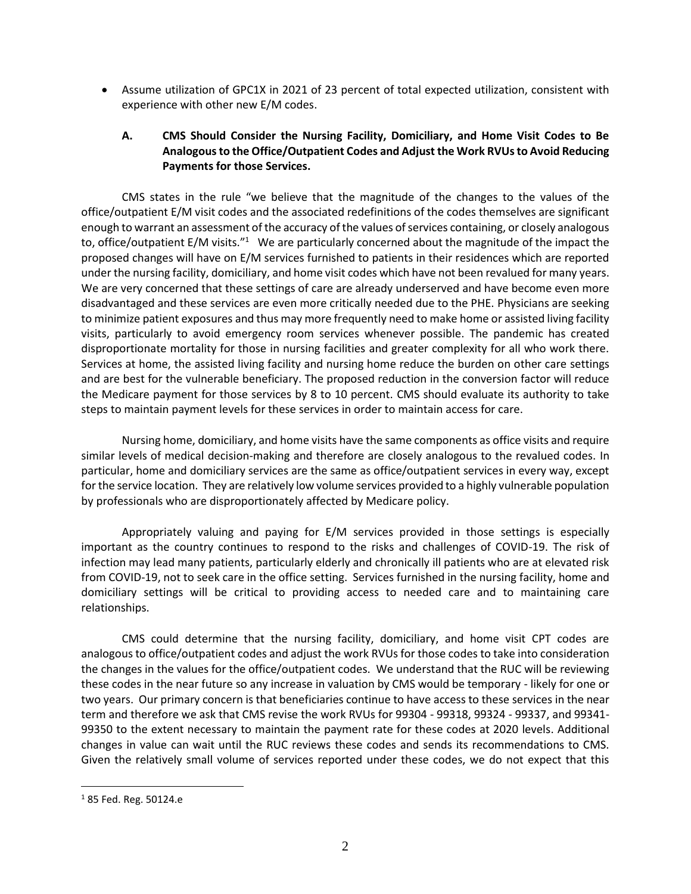• Assume utilization of GPC1X in 2021 of 23 percent of total expected utilization, consistent with experience with other new E/M codes.

## **A. CMS Should Consider the Nursing Facility, Domiciliary, and Home Visit Codes to Be Analogous to the Office/Outpatient Codes and Adjust the Work RVUs to Avoid Reducing Payments for those Services.**

CMS states in the rule "we believe that the magnitude of the changes to the values of the office/outpatient E/M visit codes and the associated redefinitions of the codes themselves are significant enough to warrant an assessment of the accuracy of the values of services containing, or closely analogous to, office/outpatient E/M visits." $1$  We are particularly concerned about the magnitude of the impact the proposed changes will have on E/M services furnished to patients in their residences which are reported under the nursing facility, domiciliary, and home visit codes which have not been revalued for many years. We are very concerned that these settings of care are already underserved and have become even more disadvantaged and these services are even more critically needed due to the PHE. Physicians are seeking to minimize patient exposures and thus may more frequently need to make home or assisted living facility visits, particularly to avoid emergency room services whenever possible. The pandemic has created disproportionate mortality for those in nursing facilities and greater complexity for all who work there. Services at home, the assisted living facility and nursing home reduce the burden on other care settings and are best for the vulnerable beneficiary. The proposed reduction in the conversion factor will reduce the Medicare payment for those services by 8 to 10 percent. CMS should evaluate its authority to take steps to maintain payment levels for these services in order to maintain access for care.

Nursing home, domiciliary, and home visits have the same components as office visits and require similar levels of medical decision-making and therefore are closely analogous to the revalued codes. In particular, home and domiciliary services are the same as office/outpatient services in every way, except for the service location. They are relatively low volume services provided to a highly vulnerable population by professionals who are disproportionately affected by Medicare policy.

Appropriately valuing and paying for E/M services provided in those settings is especially important as the country continues to respond to the risks and challenges of COVID-19. The risk of infection may lead many patients, particularly elderly and chronically ill patients who are at elevated risk from COVID-19, not to seek care in the office setting. Services furnished in the nursing facility, home and domiciliary settings will be critical to providing access to needed care and to maintaining care relationships.

CMS could determine that the nursing facility, domiciliary, and home visit CPT codes are analogous to office/outpatient codes and adjust the work RVUs for those codes to take into consideration the changes in the values for the office/outpatient codes. We understand that the RUC will be reviewing these codes in the near future so any increase in valuation by CMS would be temporary - likely for one or two years. Our primary concern is that beneficiaries continue to have access to these services in the near term and therefore we ask that CMS revise the work RVUs for 99304 - 99318, 99324 - 99337, and 99341- 99350 to the extent necessary to maintain the payment rate for these codes at 2020 levels. Additional changes in value can wait until the RUC reviews these codes and sends its recommendations to CMS. Given the relatively small volume of services reported under these codes, we do not expect that this

 $\overline{a}$ 

<sup>1</sup> 85 Fed. Reg. 50124.e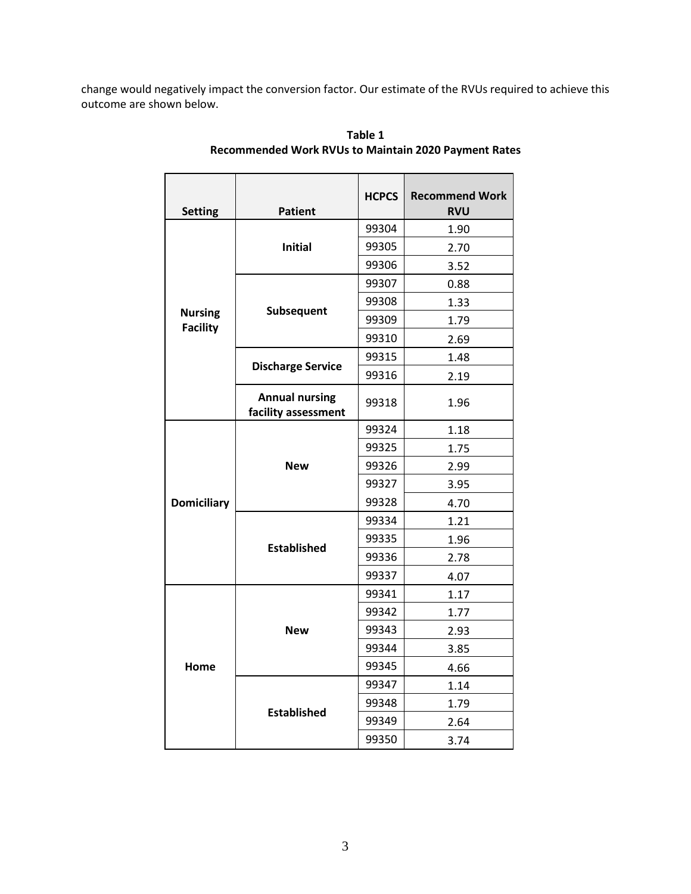change would negatively impact the conversion factor. Our estimate of the RVUs required to achieve this outcome are shown below.

| <b>Setting</b>                    | <b>Patient</b>                               | <b>HCPCS</b> | <b>Recommend Work</b><br><b>RVU</b> |
|-----------------------------------|----------------------------------------------|--------------|-------------------------------------|
| <b>Nursing</b><br><b>Facility</b> | <b>Initial</b>                               | 99304        | 1.90                                |
|                                   |                                              | 99305        | 2.70                                |
|                                   |                                              | 99306        | 3.52                                |
|                                   | Subsequent                                   | 99307        | 0.88                                |
|                                   |                                              | 99308        | 1.33                                |
|                                   |                                              | 99309        | 1.79                                |
|                                   |                                              | 99310        | 2.69                                |
|                                   | <b>Discharge Service</b>                     | 99315        | 1.48                                |
|                                   |                                              | 99316        | 2.19                                |
|                                   | <b>Annual nursing</b><br>facility assessment | 99318        | 1.96                                |
| <b>Domiciliary</b>                | <b>New</b>                                   | 99324        | 1.18                                |
|                                   |                                              | 99325        | 1.75                                |
|                                   |                                              | 99326        | 2.99                                |
|                                   |                                              | 99327        | 3.95                                |
|                                   |                                              | 99328        | 4.70                                |
|                                   | <b>Established</b>                           | 99334        | 1.21                                |
|                                   |                                              | 99335        | 1.96                                |
|                                   |                                              | 99336        | 2.78                                |
|                                   |                                              | 99337        | 4.07                                |
| Home                              | <b>New</b>                                   | 99341        | 1.17                                |
|                                   |                                              | 99342        | 1.77                                |
|                                   |                                              | 99343        | 2.93                                |
|                                   |                                              | 99344        | 3.85                                |
|                                   |                                              | 99345        | 4.66                                |
|                                   | <b>Established</b>                           | 99347        | 1.14                                |
|                                   |                                              | 99348        | 1.79                                |
|                                   |                                              | 99349        | 2.64                                |
|                                   |                                              | 99350        | 3.74                                |

**Table 1 Recommended Work RVUs to Maintain 2020 Payment Rates**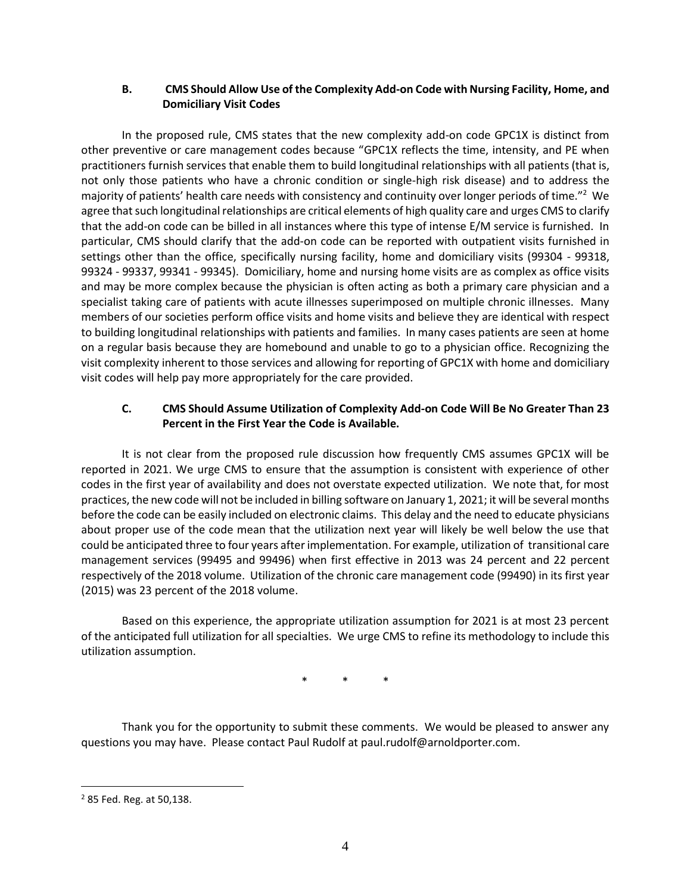## **B. CMS Should Allow Use of the Complexity Add-on Code with Nursing Facility, Home, and Domiciliary Visit Codes**

In the proposed rule, CMS states that the new complexity add-on code GPC1X is distinct from other preventive or care management codes because "GPC1X reflects the time, intensity, and PE when practitioners furnish services that enable them to build longitudinal relationships with all patients (that is, not only those patients who have a chronic condition or single-high risk disease) and to address the majority of patients' health care needs with consistency and continuity over longer periods of time."<sup>2</sup> We agree that such longitudinal relationships are critical elements of high quality care and urges CMS to clarify that the add-on code can be billed in all instances where this type of intense E/M service is furnished. In particular, CMS should clarify that the add-on code can be reported with outpatient visits furnished in settings other than the office, specifically nursing facility, home and domiciliary visits (99304 - 99318, 99324 - 99337, 99341 - 99345). Domiciliary, home and nursing home visits are as complex as office visits and may be more complex because the physician is often acting as both a primary care physician and a specialist taking care of patients with acute illnesses superimposed on multiple chronic illnesses. Many members of our societies perform office visits and home visits and believe they are identical with respect to building longitudinal relationships with patients and families. In many cases patients are seen at home on a regular basis because they are homebound and unable to go to a physician office. Recognizing the visit complexity inherent to those services and allowing for reporting of GPC1X with home and domiciliary visit codes will help pay more appropriately for the care provided.

## **C. CMS Should Assume Utilization of Complexity Add-on Code Will Be No Greater Than 23 Percent in the First Year the Code is Available.**

It is not clear from the proposed rule discussion how frequently CMS assumes GPC1X will be reported in 2021. We urge CMS to ensure that the assumption is consistent with experience of other codes in the first year of availability and does not overstate expected utilization. We note that, for most practices, the new code will not be included in billing software on January 1, 2021; it will be several months before the code can be easily included on electronic claims. This delay and the need to educate physicians about proper use of the code mean that the utilization next year will likely be well below the use that could be anticipated three to four years after implementation. For example, utilization of transitional care management services (99495 and 99496) when first effective in 2013 was 24 percent and 22 percent respectively of the 2018 volume. Utilization of the chronic care management code (99490) in its first year (2015) was 23 percent of the 2018 volume.

Based on this experience, the appropriate utilization assumption for 2021 is at most 23 percent of the anticipated full utilization for all specialties. We urge CMS to refine its methodology to include this utilization assumption.

\* \* \*

Thank you for the opportunity to submit these comments. We would be pleased to answer any questions you may have. Please contact Paul Rudolf at paul.rudolf@arnoldporter.com.

 $\overline{a}$ 

<sup>2</sup> 85 Fed. Reg. at 50,138.